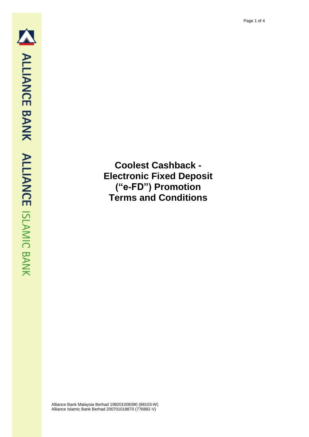**Coolest Cashback - Electronic Fixed Deposit ("e-FD") Promotion Terms and Conditions**

Alliance Bank Malaysia Berhad 198201008390 (88103-W) Alliance Islamic Bank Berhad 200701018870 (776882-V)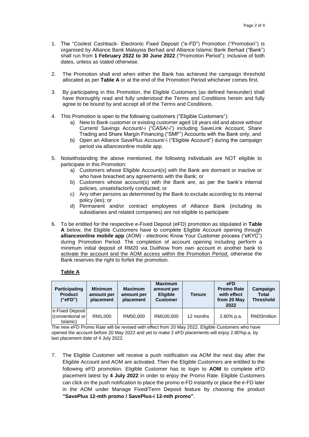- 1. The "Coolest Cashback- Electronic Fixed Deposit ("e-FD") Promotion ("Promotion") is organised by Alliance Bank Malaysia Berhad and Alliance Islamic Bank Berhad ("Bank") shall run from **1 February 2022 to 30 June 2022** ("Promotion Period"); inclusive of both dates, unless as stated otherwise.
- 2. The Promotion shall end when either the Bank has achieved the campaign threshold allocated as per **Table A** or at the end of the Promotion Period whichever comes first.
- 3. By participating in this Promotion, the Eligible Customers (as defined hereunder) shall have thoroughly read and fully understood the Terms and Conditions herein and fully agree to be bound by and accept all of the Terms and Conditions.
- 4. This Promotion is open to the following customers ("Eligible Customers"):
	- a) New to Bank customer or existing customer aged 18 years old and above without Current/ Savings Account/-i ("CASA/-i") including SaveLink Account, Share Trading and Share Margin Financing ("SMF") Accounts with the Bank only; and
	- b) Open an Alliance SavePlus Account/-i ("Eligible Account") during the campaign period via allianceonline mobile app.
- 5. Notwithstanding the above mentioned, the following individuals are NOT eligible to participate in this Promotion:
	- a) Customers whose Eligible Account(s) with the Bank are dormant or inactive or who have breached any agreements with the Bank; or
	- b) Customers whose account(s) with the Bank are, as per the bank's internal policies, unsatisfactorily conducted; or
	- c) Any other persons as determined by the Bank to exclude according to its internal policy (ies); or
	- d) Permanent and/or contract employees of Alliance Bank (including its subsidiaries and related companies) are not eligible to participate
- 6. To be entitled for the respective e-Fixed Deposit (eFD) promotion as stipulated in **Table A** below, the Eligible Customers have to complete Eligible Account opening through **allianceonline mobile app** (AOM) - electronic Know Your Customer process ("eKYC") during Promotion Period. The completion of account opening including perform a minimum initial deposit of RM20 via DuitNow from own account in another bank to activate the account and the AOM access within the Promotion Period, otherwise the Bank reserves the right to forfeit the promotion.

## **Table A**

| <b>Participating</b><br><b>Product</b><br>("eFD") | <b>Minimum</b><br>amount per<br>placement | <b>Maximum</b><br>amount per<br>placement | <b>Maximum</b><br>amount per<br><b>Eligible</b><br><b>Customer</b> | <b>Tenure</b> | eFD<br><b>Promo Rate</b><br>with effect<br>from 20 May<br>2022 | Campaign<br><b>Total</b><br><b>Threshold</b> |
|---------------------------------------------------|-------------------------------------------|-------------------------------------------|--------------------------------------------------------------------|---------------|----------------------------------------------------------------|----------------------------------------------|
| e-Fixed Deposit<br>(conventional or<br>Islamic)   | RM1.000                                   | RM50,000                                  | RM100,000                                                          | 12 months     | 2.80% p.a.                                                     | RM20million                                  |

The new eFD Promo Rate will be revised with effect from 20 May 2022. Eligible Customers who have opened the account before 20 May 2022 and yet to make 2 eFD placements will enjoy 2.80%p.a. by last placement date of 4 July 2022.

7. The Eligible Customer will receive a push notification via AOM the next day after the Eligible Account and AOM are activated. Then the Eligible Customers are entitled to the following eFD promotion. Eligible Customer has to login to **AOM** to complete eFD placement latest by **4 July 2022** in order to enjoy the Promo Rate. Eligible Customers can click on the push notification to place the promo e-FD instantly or place the e-FD later in the AOM under Manage Fixed/Term Deposit feature by choosing the product **"SavePlus 12-mth promo / SavePlus-i 12-mth promo"**.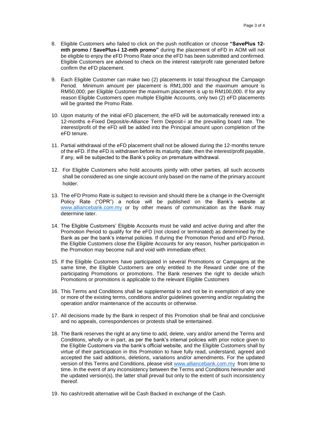- 8. Eligible Customers who failed to click on the push notification or choose **"SavePlus 12 mth promo / SavePlus-i 12-mth promo"** during the placement of eFD in AOM will not be eligible to enjoy the eFD Promo Rate once the eFD has been submitted and confirmed. Eligible Customers are advised to check on the interest rate/profit rate generated before confirm the eFD placement.
- 9. Each Eligible Customer can make two (2) placements in total throughout the Campaign Period. Minimum amount per placement is RM1,000 and the maximum amount is RM50,000; per Eligible Customer the maximum placement is up to RM100,000. If for any reason Eligible Customers open multiple Eligible Accounts, only two (2) eFD placements will be granted the Promo Rate.
- 10. Upon maturity of the initial eFD placement, the eFD will be automatically renewed into a 12-months e-Fixed Deposit/e-Alliance Term Deposit-i at the prevailing board rate. The interest/profit of the eFD will be added into the Principal amount upon completion of the eFD tenure.
- 11. Partial withdrawal of the eFD placement shall not be allowed during the 12-months tenure of the eFD. If the eFD is withdrawn before its maturity date, then the interest/profit payable, if any, will be subjected to the Bank's policy on premature withdrawal.
- 12. For Eligible Customers who hold accounts jointly with other parties, all such accounts shall be considered as one single account only based on the name of the primary account holder.
- 13. The eFD Promo Rate is subject to revision and should there be a change in the Overnight Policy Rate ("OPR") a notice will be published on the Bank's website at [www.alliancebank.com.my](http://www.alliancebank.com.my/) or by other means of communication as the Bank may determine later.
- 14. The Eligible Customers' Eligible Accounts must be valid and active during and after the Promotion Period to qualify for the eFD (not closed or terminated) as determined by the Bank as per the bank's internal policies. If during the Promotion Period and eFD Period, the Eligible Customers close the Eligible Accounts for any reason, his/her participation in the Promotion may become null and void with immediate effect.
- 15. If the Eligible Customers have participated in several Promotions or Campaigns at the same time, the Eligible Customers are only entitled to the Reward under one of the participating Promotions or promotions. The Bank reserves the right to decide which Promotions or promotions is applicable to the relevant Eligible Customers
- 16. This Terms and Conditions shall be supplemental to and not be in exemption of any one or more of the existing terms, conditions and/or guidelines governing and/or regulating the operation and/or maintenance of the accounts or otherwise.
- 17. All decisions made by the Bank in respect of this Promotion shall be final and conclusive and no appeals, correspondences or protests shall be entertained.
- 18. The Bank reserves the right at any time to add, delete, vary and/or amend the Terms and Conditions, wholly or in part, as per the bank's internal policies with prior notice given to the Eligible Customers via the bank's official website, and the Eligible Customers shall by virtue of their participation in this Promotion to have fully read, understand, agreed and accepted the said additions, deletions, variations and/or amendments. For the updated version of this Terms and Conditions, please visit [www.alliancebank.com.my](http://www.alliancebank.com.my/) from time to time. In the event of any inconsistency between the Terms and Conditions hereunder and the updated version(s), the latter shall prevail but only to the extent of such inconsistency thereof.
- 19. No cash/credit alternative will be Cash Backed in exchange of the Cash.